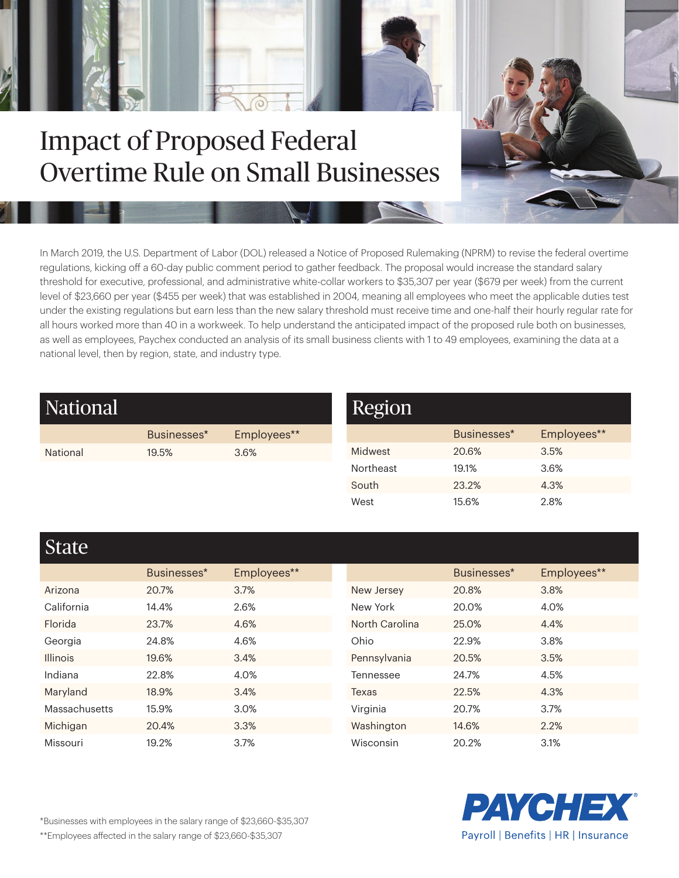

## Impact of Proposed Federal Overtime Rule on Small Businesses

In March 2019, the U.S. Department of Labor (DOL) released a Notice of Proposed Rulemaking (NPRM) to revise the federal overtime regulations, kicking off a 60-day public comment period to gather feedback. The proposal would increase the standard salary threshold for executive, professional, and administrative white-collar workers to \$35,307 per year (\$679 per week) from the current level of \$23,660 per year (\$455 per week) that was established in 2004, meaning all employees who meet the applicable duties test under the existing regulations but earn less than the new salary threshold must receive time and one-half their hourly regular rate for all hours worked more than 40 in a workweek. To help understand the anticipated impact of the proposed rule both on businesses, as well as employees, Paychex conducted an analysis of its small business clients with 1 to 49 employees, examining the data at a national level, then by region, state, and industry type.

| <b>National</b> |             |             | Region    |             |             |
|-----------------|-------------|-------------|-----------|-------------|-------------|
|                 | Businesses* | Employees** |           | Businesses* | Employees** |
| National        | 19.5%       | 3.6%        | Midwest   | 20.6%       | 3.5%        |
|                 |             |             | Northeast | 19.1%       | 3.6%        |
|                 |             | South       | 23.2%     | 4.3%        |             |
|                 |             |             | West      | 15.6%       | 2.8%        |

## State

| ocacc           |             |             |                |             |             |
|-----------------|-------------|-------------|----------------|-------------|-------------|
|                 | Businesses* | Employees** |                | Businesses* | Employees** |
| Arizona         | 20.7%       | 3.7%        | New Jersey     | 20.8%       | 3.8%        |
| California      | 14.4%       | 2.6%        | New York       | 20.0%       | 4.0%        |
| Florida         | 23.7%       | 4.6%        | North Carolina | 25.0%       | 4.4%        |
| Georgia         | 24.8%       | 4.6%        | Ohio           | 22.9%       | 3.8%        |
| <b>Illinois</b> | 19.6%       | 3.4%        | Pennsylvania   | 20.5%       | 3.5%        |
| Indiana         | 22.8%       | 4.0%        | Tennessee      | 24.7%       | 4.5%        |
| Maryland        | 18.9%       | 3.4%        | Texas          | 22.5%       | 4.3%        |
| Massachusetts   | 15.9%       | 3.0%        | Virginia       | 20.7%       | 3.7%        |
| Michigan        | 20.4%       | 3.3%        | Washington     | 14.6%       | 2.2%        |
| Missouri        | 19.2%       | 3.7%        | Wisconsin      | 20.2%       | 3.1%        |
|                 |             |             |                |             |             |



\*Businesses with employees in the salary range of \$23,660-\$35,307 \*\*Employees affected in the salary range of \$23,660-\$35,307